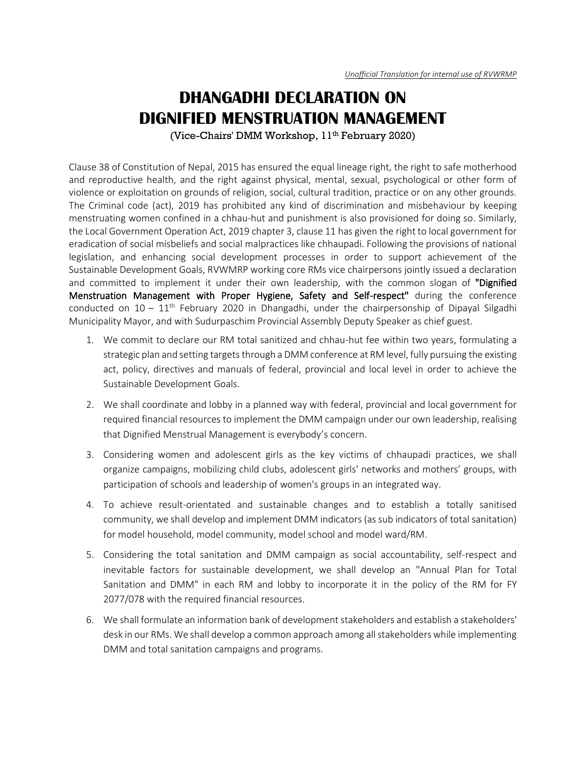## **DHANGADHI DECLARATION ON DIGNIFIED MENSTRUATION MANAGEMENT**

(Vice-Chairs' DMM Workshop, 11<sup>th</sup> February 2020)

Clause 38 of Constitution of Nepal, 2015 has ensured the equal lineage right, the right to safe motherhood and reproductive health, and the right against physical, mental, sexual, psychological or other form of violence or exploitation on grounds of religion, social, cultural tradition, practice or on any other grounds. The Criminal code (act), 2019 has prohibited any kind of discrimination and misbehaviour by keeping menstruating women confined in a chhau-hut and punishment is also provisioned for doing so. Similarly, the Local Government Operation Act, 2019 chapter 3, clause 11 has given the right to local government for eradication of social misbeliefs and social malpractices like chhaupadi. Following the provisions of national legislation, and enhancing social development processes in order to support achievement of the Sustainable Development Goals, RVWMRP working core RMs vice chairpersons jointly issued a declaration and committed to implement it under their own leadership, with the common slogan of "Dignified Menstruation Management with Proper Hygiene, Safety and Self-respect" during the conference conducted on  $10 - 11<sup>th</sup>$  February 2020 in Dhangadhi, under the chairpersonship of Dipayal Silgadhi Municipality Mayor, and with Sudurpaschim Provincial Assembly Deputy Speaker as chief guest.

- 1. We commit to declare our RM total sanitized and chhau-hut fee within two years, formulating a strategic plan and setting targets through a DMM conference at RM level, fully pursuing the existing act, policy, directives and manuals of federal, provincial and local level in order to achieve the Sustainable Development Goals.
- 2. We shall coordinate and lobby in a planned way with federal, provincial and local government for required financial resources to implement the DMM campaign under our own leadership, realising that Dignified Menstrual Management is everybody's concern.
- 3. Considering women and adolescent girls as the key victims of chhaupadi practices, we shall organize campaigns, mobilizing child clubs, adolescent girls' networks and mothers' groups, with participation of schools and leadership of women's groups in an integrated way.
- 4. To achieve result-orientated and sustainable changes and to establish a totally sanitised community, we shall develop and implement DMM indicators (as sub indicators of total sanitation) for model household, model community, model school and model ward/RM.
- 5. Considering the total sanitation and DMM campaign as social accountability, self-respect and inevitable factors for sustainable development, we shall develop an "Annual Plan for Total Sanitation and DMM" in each RM and lobby to incorporate it in the policy of the RM for FY 2077/078 with the required financial resources.
- 6. We shall formulate an information bank of development stakeholders and establish a stakeholders' desk in our RMs. We shall develop a common approach among all stakeholders while implementing DMM and total sanitation campaigns and programs.